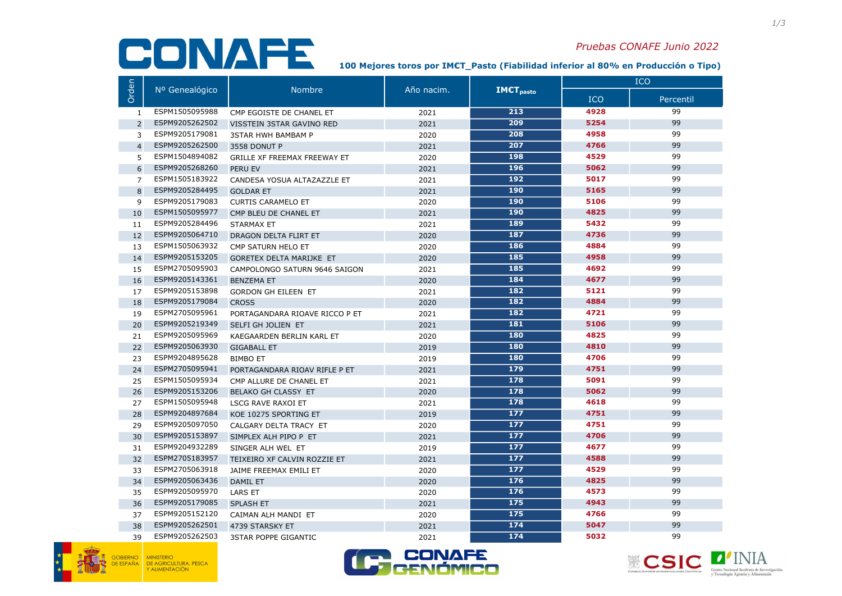## CONAFE

## Pruebas CONAFE Junio 2022

100 Mejores toros por IM€T\_Pasto (Fiabilidad inferior al 80% en Producción o Tipo)

|                | Nº Genealógico | <b>Nombre</b>                   | Año nacim. | <b>IMCT</b> pasto | <b>ICO</b> |           |
|----------------|----------------|---------------------------------|------------|-------------------|------------|-----------|
| Orden          |                |                                 |            |                   | <b>ICO</b> | Percentil |
| 1              | ESPM1505095988 | CMP EGOISTE DE CHANEL ET        | 2021       | 213               | 4928       | 99        |
| $\overline{2}$ | ESPM9205262502 | VISSTEIN 3STAR GAVINO RED       | 2021       | 209               | 5254       | 99        |
| 3              | ESPM9205179081 | <b>3STAR HWH BAMBAM P</b>       | 2020       | 208               | 4958       | 99        |
| $\overline{4}$ | ESPM9205262500 | 3558 DONUT P                    | 2021       | 207               | 4766       | 99        |
| 5              | ESPM1504894082 | GRILLE XF FREEMAX FREEWAY ET    | 2020       | 198               | 4529       | 99        |
| 6              | ESPM9205268260 | <b>PERU EV</b>                  | 2021       | 196               | 5062       | 99        |
| $\overline{7}$ | ESPM1505183922 | CANDESA YOSUA ALTAZAZZLE ET     | 2021       | 192               | 5017       | 99        |
| 8              | ESPM9205284495 | <b>GOLDAR ET</b>                | 2021       | 190               | 5165       | 99        |
| 9              | ESPM9205179083 | <b>CURTIS CARAMELO ET</b>       | 2020       | 190               | 5106       | 99        |
| 10             | ESPM1505095977 | CMP BLEU DE CHANEL ET           | 2021       | 190               | 4825       | 99        |
| 11             | ESPM9205284496 | <b>STARMAX ET</b>               | 2021       | 189               | 5432       | 99        |
| 12             | ESPM9205064710 | DRAGON DELTA FLIRT ET           | 2020       | 187               | 4736       | 99        |
| 13             | ESPM1505063932 | CMP SATURN HELO ET              | 2020       | 186               | 4884       | 99        |
| 14             | ESPM9205153205 | <b>GORETEX DELTA MARIJKE ET</b> | 2020       | 185               | 4958       | 99        |
| 15             | ESPM2705095903 | CAMPOLONGO SATURN 9646 SAIGON   | 2021       | 185               | 4692       | 99        |
| 16             | ESPM9205143361 | <b>BENZEMA ET</b>               | 2020       | 184               | 4677       | 99        |
| 17             | ESPM9205153898 | <b>GORDON GH EILEEN ET</b>      | 2021       | 182               | 5121       | 99        |
| 18             | ESPM9205179084 | <b>CROSS</b>                    | 2020       | 182               | 4884       | 99        |
| 19             | ESPM2705095961 | PORTAGANDARA RIOAVE RICCO P ET  | 2021       | 182               | 4721       | 99        |
| 20             | ESPM9205219349 | SELFI GH JOLIEN ET              | 2021       | 181               | 5106       | 99        |
| 21             | ESPM9205095969 | KAEGAARDEN BERLIN KARL ET       | 2020       | 180               | 4825       | 99        |
| 22             | ESPM9205063930 | <b>GIGABALL ET</b>              | 2019       | 180               | 4810       | 99        |
| 23             | ESPM9204895628 | <b>BIMBO ET</b>                 | 2019       | 180               | 4706       | 99        |
| 24             | ESPM2705095941 | PORTAGANDARA RIOAV RIFLE P ET   | 2021       | 179               | 4751       | 99        |
| 25             | ESPM1505095934 | CMP ALLURE DE CHANEL ET         | 2021       | 178               | 5091       | 99        |
| 26             | ESPM9205153206 | <b>BELAKO GH CLASSY ET</b>      | 2020       | 178               | 5062       | 99        |
| 27             | ESPM1505095948 | <b>LSCG RAVE RAXOI ET</b>       | 2021       | 178               | 4618       | 99        |
| 28             | ESPM9204897684 | KOE 10275 SPORTING ET           | 2019       | 177               | 4751       | 99        |
| 29             | ESPM9205097050 | CALGARY DELTA TRACY ET          | 2020       | 177               | 4751       | 99        |
| 30             | ESPM9205153897 | SIMPLEX ALH PIPO P ET           | 2021       | 177               | 4706       | 99        |
| 31             | ESPM9204932289 | SINGER ALH WEL ET               | 2019       | 177               | 4677       | 99        |
| 32             | ESPM2705183957 | TEIXEIRO XF CALVIN ROZZIE ET    | 2021       | 177               | 4588       | 99        |
| 33             | ESPM2705063918 | JAIME FREEMAX EMILI ET          | 2020       | 177               | 4529       | 99        |
| 34             | ESPM9205063436 | <b>DAMIL ET</b>                 | 2020       | 176               | 4825       | 99        |
| 35             | ESPM9205095970 | <b>LARS ET</b>                  | 2020       | 176               | 4573       | 99        |
| 36             | ESPM9205179085 | <b>SPLASH ET</b>                | 2021       | 175               | 4943       | 99        |
| 37             | ESPM9205152120 | CAIMAN ALH MANDI ET             | 2020       | 175               | 4766       | 99        |
| 38             | ESPM9205262501 | 4739 STARSKY ET                 | 2021       | 174               | 5047       | 99        |
| 39             | ESPM9205262503 | <b>3STAR POPPE GIGANTIC</b>     | 2021       | 174               | 5032       | 99        |





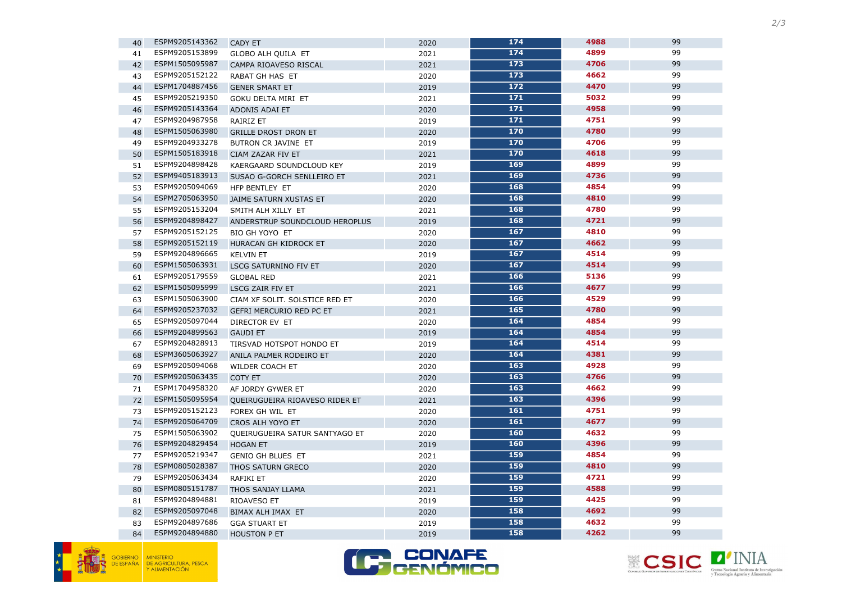





| 40 | ESPM9205143362 | <b>CADY ET</b>                 | 2020 | 174        | 4988 | 99 |
|----|----------------|--------------------------------|------|------------|------|----|
| 41 | ESPM9205153899 | <b>GLOBO ALH QUILA ET</b>      | 2021 | 174        | 4899 | 99 |
| 42 | ESPM1505095987 | CAMPA RIOAVESO RISCAL          | 2021 | 173        | 4706 | 99 |
| 43 | ESPM9205152122 | RABAT GH HAS ET                | 2020 | 173        | 4662 | 99 |
| 44 | ESPM1704887456 | <b>GENER SMART ET</b>          | 2019 | 172        | 4470 | 99 |
| 45 | ESPM9205219350 | <b>GOKU DELTA MIRI ET</b>      | 2021 | 171        | 5032 | 99 |
| 46 | ESPM9205143364 | <b>ADONIS ADAI ET</b>          | 2020 | 171        | 4958 | 99 |
| 47 | ESPM9204987958 | RAIRIZ ET                      | 2019 | 171        | 4751 | 99 |
| 48 | ESPM1505063980 | <b>GRILLE DROST DRON ET</b>    | 2020 | 170        | 4780 | 99 |
| 49 | ESPM9204933278 | BUTRON CR JAVINE ET            | 2019 | 170        | 4706 | 99 |
| 50 | ESPM1505183918 | CIAM ZAZAR FIV ET              | 2021 | 170        | 4618 | 99 |
| 51 | ESPM9204898428 | KAERGAARD SOUNDCLOUD KEY       | 2019 | <b>169</b> | 4899 | 99 |
| 52 | ESPM9405183913 | SUSAO G-GORCH SENLLEIRO ET     | 2021 | <b>169</b> | 4736 | 99 |
| 53 | ESPM9205094069 | HFP BENTLEY ET                 | 2020 | 168        | 4854 | 99 |
| 54 | ESPM2705063950 | JAIME SATURN XUSTAS ET         | 2020 | 168        | 4810 | 99 |
| 55 | ESPM9205153204 | SMITH ALH XILLY ET             | 2021 | <b>168</b> | 4780 | 99 |
| 56 | ESPM9204898427 | ANDERSTRUP SOUNDCLOUD HEROPLUS | 2019 | 168        | 4721 | 99 |
| 57 | ESPM9205152125 | <b>BIO GH YOYO ET</b>          | 2020 | 167        | 4810 | 99 |
| 58 | ESPM9205152119 | HURACAN GH KIDROCK ET          | 2020 | 167        | 4662 | 99 |
| 59 | ESPM9204896665 | <b>KELVIN ET</b>               | 2019 | 167        | 4514 | 99 |
| 60 | ESPM1505063931 | LSCG SATURNINO FIV ET          | 2020 | 167        | 4514 | 99 |
| 61 | ESPM9205179559 | <b>GLOBAL RED</b>              | 2021 | 166        | 5136 | 99 |
| 62 | ESPM1505095999 | <b>LSCG ZAIR FIV ET</b>        | 2021 | 166        | 4677 | 99 |
| 63 | ESPM1505063900 | CIAM XF SOLIT. SOLSTICE RED ET | 2020 | 166        | 4529 | 99 |
| 64 | ESPM9205237032 | GEFRI MERCURIO RED PC ET       | 2021 | 165        | 4780 | 99 |
| 65 | ESPM9205097044 | DIRECTOR EV ET                 | 2020 | 164        | 4854 | 99 |
| 66 | ESPM9204899563 | <b>GAUDI ET</b>                | 2019 | 164        | 4854 | 99 |
| 67 | ESPM9204828913 | TIRSVAD HOTSPOT HONDO ET       | 2019 | 164        | 4514 | 99 |
| 68 | ESPM3605063927 | ANILA PALMER RODEIRO ET        | 2020 | 164        | 4381 | 99 |
| 69 | ESPM9205094068 | WILDER COACH ET                | 2020 | 163        | 4928 | 99 |
| 70 | ESPM9205063435 | <b>COTY ET</b>                 | 2020 | 163        | 4766 | 99 |
| 71 | ESPM1704958320 | AF JORDY GYWER ET              | 2020 | 163        | 4662 | 99 |
| 72 | ESPM1505095954 | QUEIRUGUEIRA RIOAVESO RIDER ET | 2021 | 163        | 4396 | 99 |
| 73 | ESPM9205152123 | FOREX GH WIL ET                | 2020 | 161        | 4751 | 99 |
| 74 | ESPM9205064709 | CROS ALH YOYO ET               | 2020 | 161        | 4677 | 99 |
| 75 | ESPM1505063902 | QUEIRUGUEIRA SATUR SANTYAGO ET | 2020 | 160        | 4632 | 99 |
| 76 | ESPM9204829454 | <b>HOGAN ET</b>                | 2019 | 160        | 4396 | 99 |
| 77 | ESPM9205219347 | <b>GENIO GH BLUES ET</b>       | 2021 | <b>159</b> | 4854 | 99 |
| 78 | ESPM0805028387 | THOS SATURN GRECO              | 2020 | 159        | 4810 | 99 |
| 79 | ESPM9205063434 | <b>RAFIKI ET</b>               | 2020 | 159        | 4721 | 99 |
| 80 | ESPM0805151787 | THOS SANJAY LLAMA              | 2021 | 159        | 4588 | 99 |
| 81 | ESPM9204894881 | RIOAVESO ET                    | 2019 | 159        | 4425 | 99 |
| 82 | ESPM9205097048 | BIMAX ALH IMAX ET              | 2020 | 158        | 4692 | 99 |
| 83 | ESPM9204897686 | <b>GGA STUART ET</b>           | 2019 | 158        | 4632 | 99 |
| 84 | ESPM9204894880 | <b>HOUSTON P ET</b>            | 2019 | 158        | 4262 | 99 |